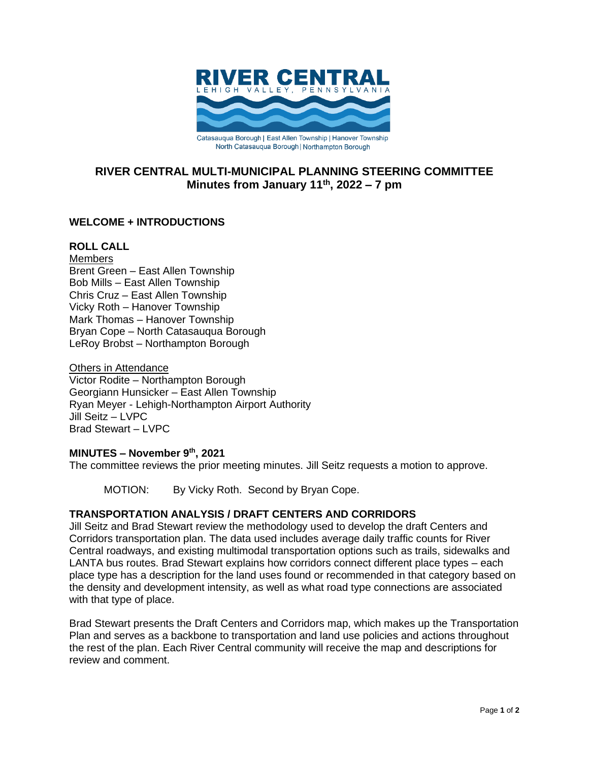

# **RIVER CENTRAL MULTI-MUNICIPAL PLANNING STEERING COMMITTEE Minutes from January 11th , 2022 – 7 pm**

# **WELCOME + INTRODUCTIONS**

### **ROLL CALL**

**Members** Brent Green – East Allen Township Bob Mills – East Allen Township Chris Cruz – East Allen Township Vicky Roth – Hanover Township Mark Thomas – Hanover Township Bryan Cope – North Catasauqua Borough LeRoy Brobst – Northampton Borough

Others in Attendance Victor Rodite – Northampton Borough Georgiann Hunsicker – East Allen Township Ryan Meyer - Lehigh-Northampton Airport Authority Jill Seitz – LVPC Brad Stewart – LVPC

## **MINUTES – November 9 th, 2021**

The committee reviews the prior meeting minutes. Jill Seitz requests a motion to approve.

MOTION: By Vicky Roth. Second by Bryan Cope.

## **TRANSPORTATION ANALYSIS / DRAFT CENTERS AND CORRIDORS**

Jill Seitz and Brad Stewart review the methodology used to develop the draft Centers and Corridors transportation plan. The data used includes average daily traffic counts for River Central roadways, and existing multimodal transportation options such as trails, sidewalks and LANTA bus routes. Brad Stewart explains how corridors connect different place types – each place type has a description for the land uses found or recommended in that category based on the density and development intensity, as well as what road type connections are associated with that type of place.

Brad Stewart presents the Draft Centers and Corridors map, which makes up the Transportation Plan and serves as a backbone to transportation and land use policies and actions throughout the rest of the plan. Each River Central community will receive the map and descriptions for review and comment.